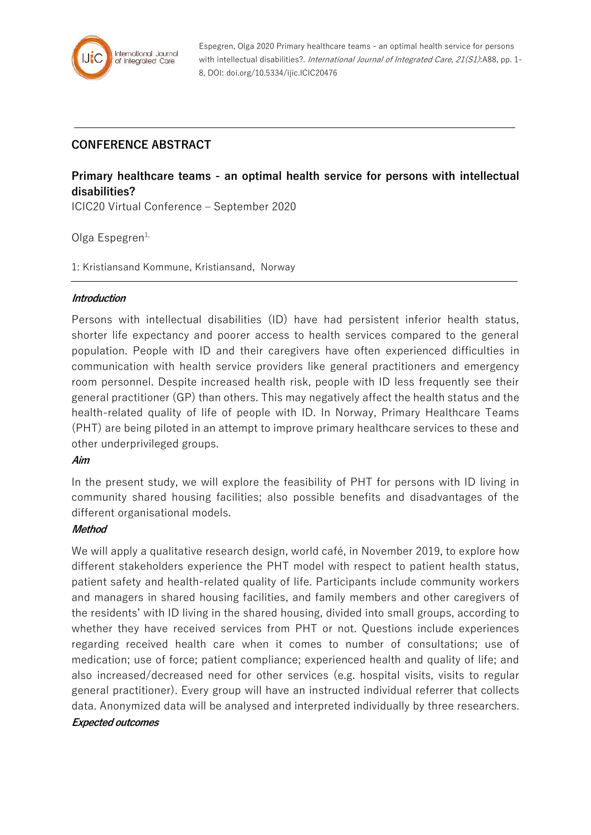

Espegren, Olga 2020 Primary healthcare teams - an optimal health service for persons with intellectual disabilities?. International Journal of Integrated Care, 21(S1):A88, pp. 1-8, DOI: doi.org/10.5334/ijic.ICIC20476

## **CONFERENCE ABSTRACT**

# **Primary healthcare teams - an optimal health service for persons with intellectual disabilities?**

ICIC20 Virtual Conference – September 2020

Olga Espegren $1$ ,

1: Kristiansand Kommune, Kristiansand, Norway

### **Introduction**

Persons with intellectual disabilities (ID) have had persistent inferior health status, shorter life expectancy and poorer access to health services compared to the general population. People with ID and their caregivers have often experienced difficulties in communication with health service providers like general practitioners and emergency room personnel. Despite increased health risk, people with ID less frequently see their general practitioner (GP) than others. This may negatively affect the health status and the health-related quality of life of people with ID. In Norway, Primary Healthcare Teams (PHT) are being piloted in an attempt to improve primary healthcare services to these and other underprivileged groups.

### **Aim**

In the present study, we will explore the feasibility of PHT for persons with ID living in community shared housing facilities; also possible benefits and disadvantages of the different organisational models.

## **Method**

We will apply a qualitative research design, world café, in November 2019, to explore how different stakeholders experience the PHT model with respect to patient health status, patient safety and health-related quality of life. Participants include community workers and managers in shared housing facilities, and family members and other caregivers of the residents' with ID living in the shared housing, divided into small groups, according to whether they have received services from PHT or not. Questions include experiences regarding received health care when it comes to number of consultations; use of medication; use of force; patient compliance; experienced health and quality of life; and also increased/decreased need for other services (e.g. hospital visits, visits to regular general practitioner). Every group will have an instructed individual referrer that collects data. Anonymized data will be analysed and interpreted individually by three researchers.

### **Expected outcomes**